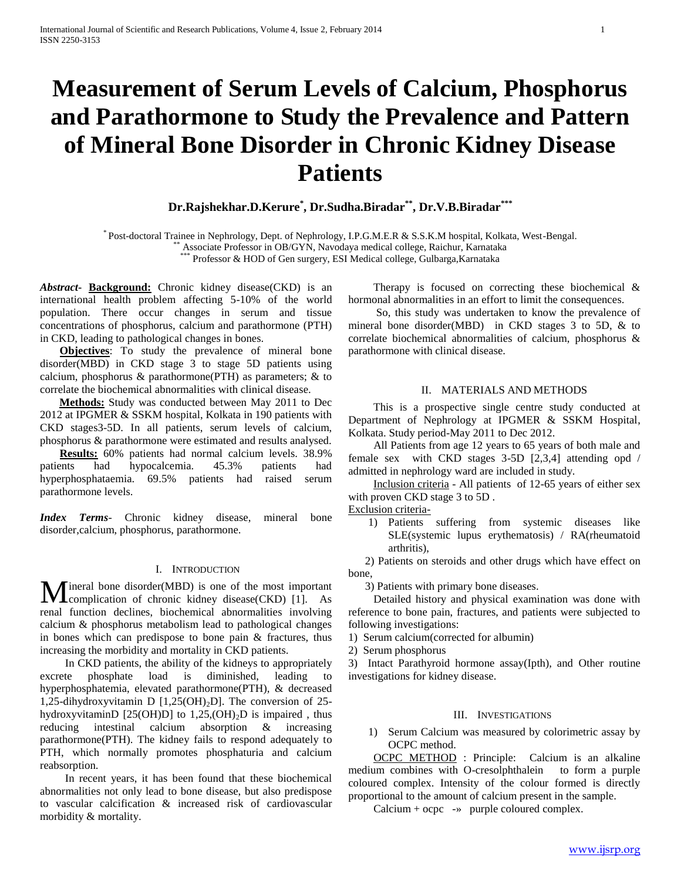# **Measurement of Serum Levels of Calcium, Phosphorus and Parathormone to Study the Prevalence and Pattern of Mineral Bone Disorder in Chronic Kidney Disease Patients**

**Dr.Rajshekhar.D.Kerure\* , Dr.Sudha.Biradar\*\* , Dr.V.B.Biradar\*\*\***

\* Post-doctoral Trainee in Nephrology, Dept. of Nephrology, I.P.G.M.E.R & S.S.K.M hospital, Kolkata, West-Bengal. \*\* Associate Professor in OB/GYN, Navodaya medical college, Raichur, Karnataka

Professor & HOD of Gen surgery, ESI Medical college, Gulbarga,Karnataka

*Abstract***- Background:** Chronic kidney disease(CKD) is an international health problem affecting 5-10% of the world population. There occur changes in serum and tissue concentrations of phosphorus, calcium and parathormone (PTH) in CKD, leading to pathological changes in bones.

 **Objectives**: To study the prevalence of mineral bone disorder(MBD) in CKD stage 3 to stage 5D patients using calcium, phosphorus & parathormone(PTH) as parameters; & to correlate the biochemical abnormalities with clinical disease.

 **Methods:** Study was conducted between May 2011 to Dec 2012 at IPGMER & SSKM hospital, Kolkata in 190 patients with CKD stages3-5D. In all patients, serum levels of calcium, phosphorus & parathormone were estimated and results analysed.

 **Results:** 60% patients had normal calcium levels. 38.9% patients had hypocalcemia. 45.3% patients had hyperphosphataemia. 69.5% patients had raised serum parathormone levels.

*Index Terms*- Chronic kidney disease, mineral bone disorder,calcium, phosphorus, parathormone.

### I. INTRODUCTION

 $\blacksquare$  ineral bone disorder(MBD) is one of the most important **M** ineral bone disorder (MBD) is one of the most important complication of chronic kidney disease (CKD) [1]. As renal function declines, biochemical abnormalities involving calcium & phosphorus metabolism lead to pathological changes in bones which can predispose to bone pain & fractures, thus increasing the morbidity and mortality in CKD patients.

 In CKD patients, the ability of the kidneys to appropriately excrete phosphate load is diminished, leading to hyperphosphatemia, elevated parathormone(PTH), & decreased 1,25-dihydroxyvitamin D  $[1,25(OH)<sub>2</sub>D]$ . The conversion of 25hydroxyvitaminD [25(OH)D] to 1,25,(OH)<sub>2</sub>D is impaired, thus reducing intestinal calcium absorption & increasing parathormone(PTH). The kidney fails to respond adequately to PTH, which normally promotes phosphaturia and calcium reabsorption.

 In recent years, it has been found that these biochemical abnormalities not only lead to bone disease, but also predispose to vascular calcification & increased risk of cardiovascular morbidity & mortality.

 Therapy is focused on correcting these biochemical & hormonal abnormalities in an effort to limit the consequences.

 So, this study was undertaken to know the prevalence of mineral bone disorder(MBD) in CKD stages 3 to 5D, & to correlate biochemical abnormalities of calcium, phosphorus & parathormone with clinical disease.

#### II. MATERIALS AND METHODS

 This is a prospective single centre study conducted at Department of Nephrology at IPGMER & SSKM Hospital, Kolkata. Study period-May 2011 to Dec 2012.

 All Patients from age 12 years to 65 years of both male and female sex with CKD stages 3-5D [2,3,4] attending opd / admitted in nephrology ward are included in study.

 Inclusion criteria - All patients of 12-65 years of either sex with proven CKD stage 3 to 5D .

Exclusion criteria-

1) Patients suffering from systemic diseases like SLE(systemic lupus erythematosis) / RA(rheumatoid arthritis),

 2) Patients on steroids and other drugs which have effect on bone,

3) Patients with primary bone diseases.

 Detailed history and physical examination was done with reference to bone pain, fractures, and patients were subjected to following investigations:

1) Serum calcium(corrected for albumin)

2) Serum phosphorus

3) Intact Parathyroid hormone assay(Ipth), and Other routine investigations for kidney disease.

# III. INVESTIGATIONS

1) Serum Calcium was measured by colorimetric assay by OCPC method.

 OCPC METHOD : Principle: Calcium is an alkaline medium combines with O-cresolphthalein to form a purple coloured complex. Intensity of the colour formed is directly proportional to the amount of calcium present in the sample.

Calcium + ocpc -» purple coloured complex.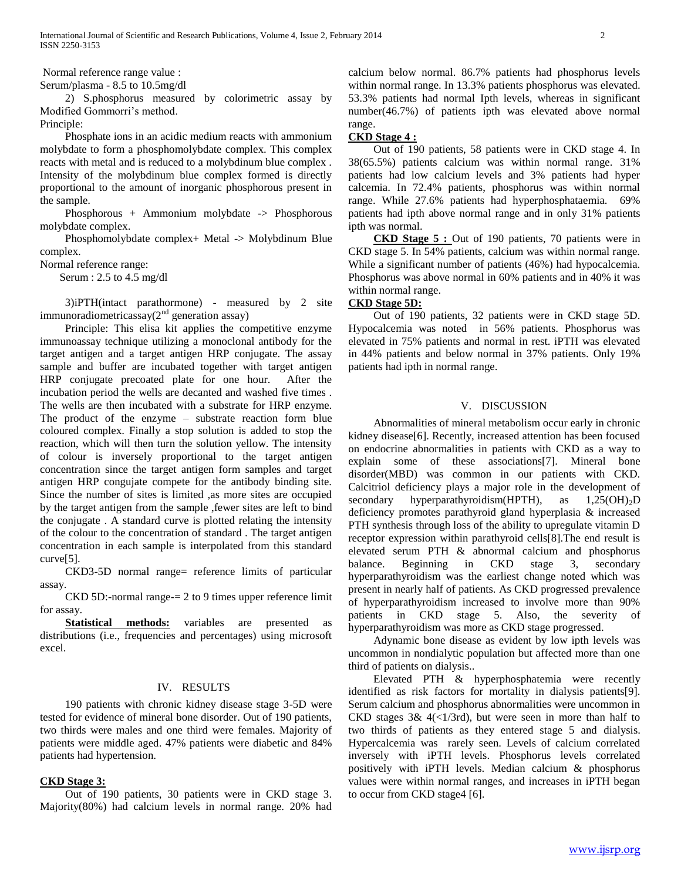Normal reference range value :

Serum/plasma - 8.5 to 10.5mg/dl

 2) S.phosphorus measured by colorimetric assay by Modified Gommorri's method.

Principle:

 Phosphate ions in an acidic medium reacts with ammonium molybdate to form a phosphomolybdate complex. This complex reacts with metal and is reduced to a molybdinum blue complex . Intensity of the molybdinum blue complex formed is directly proportional to the amount of inorganic phosphorous present in the sample.

 Phosphorous + Ammonium molybdate -> Phosphorous molybdate complex.

 Phosphomolybdate complex+ Metal -> Molybdinum Blue complex.

Normal reference range:

Serum : 2.5 to 4.5 mg/dl

 3)iPTH(intact parathormone) - measured by 2 site immunoradiometricassay $(2<sup>nd</sup>$  generation assay)

 Principle: This elisa kit applies the competitive enzyme immunoassay technique utilizing a monoclonal antibody for the target antigen and a target antigen HRP conjugate. The assay sample and buffer are incubated together with target antigen HRP conjugate precoated plate for one hour. After the incubation period the wells are decanted and washed five times . The wells are then incubated with a substrate for HRP enzyme. The product of the enzyme – substrate reaction form blue coloured complex. Finally a stop solution is added to stop the reaction, which will then turn the solution yellow. The intensity of colour is inversely proportional to the target antigen concentration since the target antigen form samples and target antigen HRP congujate compete for the antibody binding site. Since the number of sites is limited ,as more sites are occupied by the target antigen from the sample ,fewer sites are left to bind the conjugate . A standard curve is plotted relating the intensity of the colour to the concentration of standard . The target antigen concentration in each sample is interpolated from this standard curve[5].

 CKD3-5D normal range= reference limits of particular assay.

 CKD 5D:-normal range-= 2 to 9 times upper reference limit for assay.

 **Statistical methods:** variables are presented as distributions (i.e., frequencies and percentages) using microsoft excel.

#### IV. RESULTS

 190 patients with chronic kidney disease stage 3-5D were tested for evidence of mineral bone disorder. Out of 190 patients, two thirds were males and one third were females. Majority of patients were middle aged. 47% patients were diabetic and 84% patients had hypertension.

#### **CKD Stage 3:**

 Out of 190 patients, 30 patients were in CKD stage 3. Majority(80%) had calcium levels in normal range. 20% had calcium below normal. 86.7% patients had phosphorus levels within normal range. In 13.3% patients phosphorus was elevated. 53.3% patients had normal Ipth levels, whereas in significant number(46.7%) of patients ipth was elevated above normal range.

## **CKD Stage 4 :**

 Out of 190 patients, 58 patients were in CKD stage 4. In 38(65.5%) patients calcium was within normal range. 31% patients had low calcium levels and 3% patients had hyper calcemia. In 72.4% patients, phosphorus was within normal range. While 27.6% patients had hyperphosphataemia. 69% patients had ipth above normal range and in only 31% patients ipth was normal.

 **CKD Stage 5 :** Out of 190 patients, 70 patients were in CKD stage 5. In 54% patients, calcium was within normal range. While a significant number of patients (46%) had hypocalcemia. Phosphorus was above normal in 60% patients and in 40% it was within normal range.

## **CKD Stage 5D:**

 Out of 190 patients, 32 patients were in CKD stage 5D. Hypocalcemia was noted in 56% patients. Phosphorus was elevated in 75% patients and normal in rest. iPTH was elevated in 44% patients and below normal in 37% patients. Only 19% patients had ipth in normal range.

## V. DISCUSSION

 Abnormalities of mineral metabolism occur early in chronic kidney disease[6]. Recently, increased attention has been focused on endocrine abnormalities in patients with CKD as a way to explain some of these associations[7]. Mineral bone disorder(MBD) was common in our patients with CKD. Calcitriol deficiency plays a major role in the development of secondary hyperparathyroidism(HPTH), as  $1,25(OH)_2D$ deficiency promotes parathyroid gland hyperplasia & increased PTH synthesis through loss of the ability to upregulate vitamin D receptor expression within parathyroid cells[8].The end result is elevated serum PTH & abnormal calcium and phosphorus balance. Beginning in CKD stage 3, secondary hyperparathyroidism was the earliest change noted which was present in nearly half of patients. As CKD progressed prevalence of hyperparathyroidism increased to involve more than 90% patients in CKD stage 5. Also, the severity of hyperparathyroidism was more as CKD stage progressed.

 Adynamic bone disease as evident by low ipth levels was uncommon in nondialytic population but affected more than one third of patients on dialysis..

 Elevated PTH & hyperphosphatemia were recently identified as risk factors for mortality in dialysis patients[9]. Serum calcium and phosphorus abnormalities were uncommon in CKD stages  $3& 4 \left( \frac{1}{3} \right)$ , but were seen in more than half to two thirds of patients as they entered stage 5 and dialysis. Hypercalcemia was rarely seen. Levels of calcium correlated inversely with iPTH levels. Phosphorus levels correlated positively with iPTH levels. Median calcium & phosphorus values were within normal ranges, and increases in iPTH began to occur from CKD stage4 [6].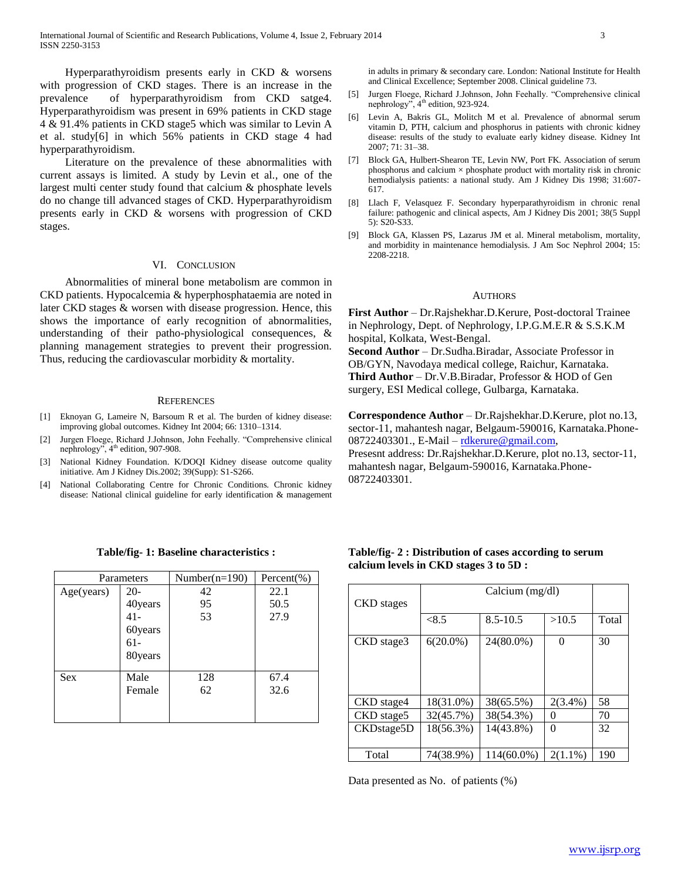Hyperparathyroidism presents early in CKD & worsens with progression of CKD stages. There is an increase in the prevalence of hyperparathyroidism from CKD satge4. Hyperparathyroidism was present in 69% patients in CKD stage 4 & 91.4% patients in CKD stage5 which was similar to Levin A et al. study[6] in which 56% patients in CKD stage 4 had hyperparathyroidism.

 Literature on the prevalence of these abnormalities with current assays is limited. A study by Levin et al., one of the largest multi center study found that calcium & phosphate levels do no change till advanced stages of CKD. Hyperparathyroidism presents early in CKD & worsens with progression of CKD stages.

#### VI. CONCLUSION

 Abnormalities of mineral bone metabolism are common in CKD patients. Hypocalcemia & hyperphosphataemia are noted in later CKD stages & worsen with disease progression. Hence, this shows the importance of early recognition of abnormalities, understanding of their patho-physiological consequences, & planning management strategies to prevent their progression. Thus, reducing the cardiovascular morbidity & mortality.

#### **REFERENCES**

- [1] Eknoyan G, Lameire N, Barsoum R et al. The burden of kidney disease: improving global outcomes. Kidney Int 2004; 66: 1310–1314.
- [2] Jurgen Floege, Richard J.Johnson, John Feehally. "Comprehensive clinical nephrology", 4<sup>th</sup> edition, 907-908.
- [3] National Kidney Foundation. K/DOQI Kidney disease outcome quality initiative. Am J Kidney Dis.2002; 39(Supp): S1-S266.
- [4] National Collaborating Centre for Chronic Conditions. Chronic kidney disease: National clinical guideline for early identification & management

| Parameters |                                                           | Number( $n=190$ ) | Percent(%)           |  |
|------------|-----------------------------------------------------------|-------------------|----------------------|--|
| Age(years) | $20-$<br>40years<br>$41 -$<br>60years<br>$61-$<br>80years | 42<br>95<br>53    | 22.1<br>50.5<br>27.9 |  |
| <b>Sex</b> | Male<br>Female                                            | 128<br>62         | 67.4<br>32.6         |  |

#### **Table/fig- 1: Baseline characteristics :**

in adults in primary & secondary care. London: National Institute for Health and Clinical Excellence; September 2008. Clinical guideline 73.

- [5] Jurgen Floege, Richard J.Johnson, John Feehally. "Comprehensive clinical nephrology", 4<sup>th</sup> edition, 923-924.
- [6] Levin A, Bakris GL, Molitch M et al. Prevalence of abnormal serum vitamin D, PTH, calcium and phosphorus in patients with chronic kidney disease: results of the study to evaluate early kidney disease. Kidney Int 2007; 71: 31–38.
- [7] Block GA, Hulbert-Shearon TE, Levin NW, Port FK. Association of serum phosphorus and calcium  $\times$  phosphate product with mortality risk in chronic hemodialysis patients: a national study. Am J Kidney Dis 1998; 31:607- 617.
- [8] Llach F, Velasquez F. Secondary hyperparathyroidism in chronic renal failure: pathogenic and clinical aspects, Am J Kidney Dis 2001; 38(5 Suppl 5): S20-S33.
- [9] Block GA, Klassen PS, Lazarus JM et al. Mineral metabolism, mortality, and morbidity in maintenance hemodialysis. J Am Soc Nephrol 2004; 15: 2208-2218.

#### **AUTHORS**

**First Author** – Dr.Rajshekhar.D.Kerure, Post-doctoral Trainee in Nephrology, Dept. of Nephrology, I.P.G.M.E.R & S.S.K.M hospital, Kolkata, West-Bengal.

**Second Author** – Dr.Sudha.Biradar, Associate Professor in OB/GYN, Navodaya medical college, Raichur, Karnataka. **Third Author** – Dr.V.B.Biradar, Professor & HOD of Gen surgery, ESI Medical college, Gulbarga, Karnataka.

**Correspondence Author** – Dr.Rajshekhar.D.Kerure, plot no.13, sector-11, mahantesh nagar, Belgaum-590016, Karnataka.Phone08722403301., E-Mail – [rdkerure@gmail.com,](mailto:rdkerure@gmail.com)

Presesnt address: Dr.Rajshekhar.D.Kerure, plot no.13, sector-11, mahantesh nagar, Belgaum-590016, Karnataka.Phone-08722403301.

|                   | Calcium (mg/dl) |               |            |       |
|-------------------|-----------------|---------------|------------|-------|
| <b>CKD</b> stages |                 |               |            |       |
|                   | < 8.5           | $8.5 - 10.5$  | >10.5      | Total |
| CKD stage3        | $6(20.0\%)$     | 24(80.0%)     | 0          | 30    |
|                   |                 |               |            |       |
|                   |                 |               |            |       |
|                   |                 |               |            |       |
| CKD stage4        | 18(31.0%)       | 38(65.5%)     | $2(3.4\%)$ | 58    |
| CKD stage5        | 32(45.7%)       | 38(54.3%)     | 0          | 70    |
| CKDstage5D        | 18(56.3%)       | 14(43.8%)     | 0          | 32    |
|                   |                 |               |            |       |
| Total             | 74(38.9%)       | $114(60.0\%)$ | $2(1.1\%)$ | 190   |

# **Table/fig- 2 : Distribution of cases according to serum calcium levels in CKD stages 3 to 5D :**

Data presented as No. of patients (%)